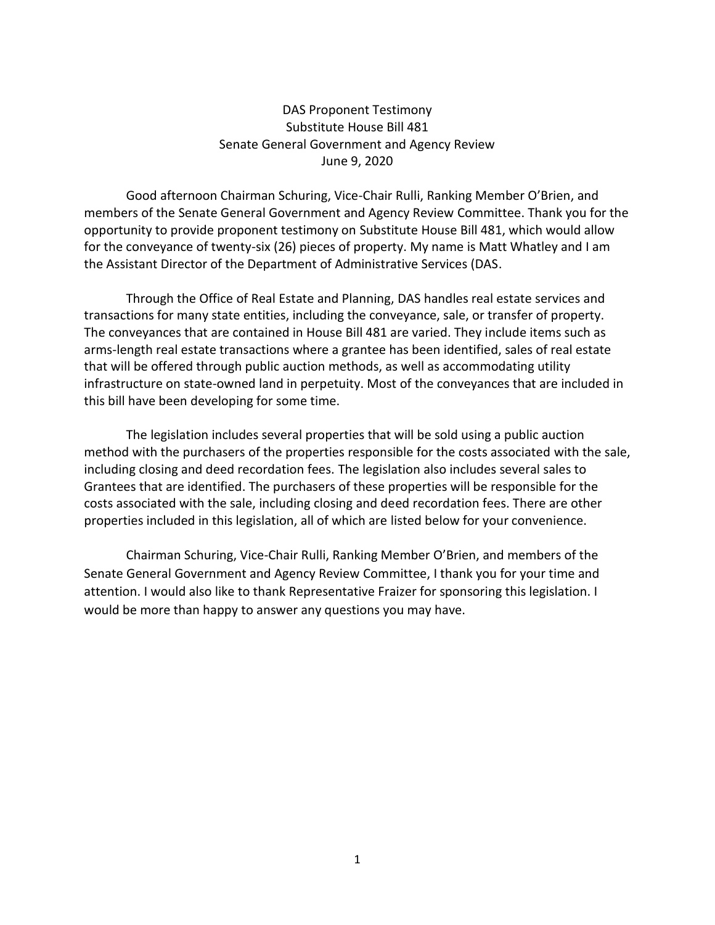## DAS Proponent Testimony Substitute House Bill 481 Senate General Government and Agency Review June 9, 2020

Good afternoon Chairman Schuring, Vice-Chair Rulli, Ranking Member O'Brien, and members of the Senate General Government and Agency Review Committee. Thank you for the opportunity to provide proponent testimony on Substitute House Bill 481, which would allow for the conveyance of twenty-six (26) pieces of property. My name is Matt Whatley and I am the Assistant Director of the Department of Administrative Services (DAS.

Through the Office of Real Estate and Planning, DAS handles real estate services and transactions for many state entities, including the conveyance, sale, or transfer of property. The conveyances that are contained in House Bill 481 are varied. They include items such as arms-length real estate transactions where a grantee has been identified, sales of real estate that will be offered through public auction methods, as well as accommodating utility infrastructure on state-owned land in perpetuity. Most of the conveyances that are included in this bill have been developing for some time.

The legislation includes several properties that will be sold using a public auction method with the purchasers of the properties responsible for the costs associated with the sale, including closing and deed recordation fees. The legislation also includes several sales to Grantees that are identified. The purchasers of these properties will be responsible for the costs associated with the sale, including closing and deed recordation fees. There are other properties included in this legislation, all of which are listed below for your convenience.

Chairman Schuring, Vice-Chair Rulli, Ranking Member O'Brien, and members of the Senate General Government and Agency Review Committee, I thank you for your time and attention. I would also like to thank Representative Fraizer for sponsoring this legislation. I would be more than happy to answer any questions you may have.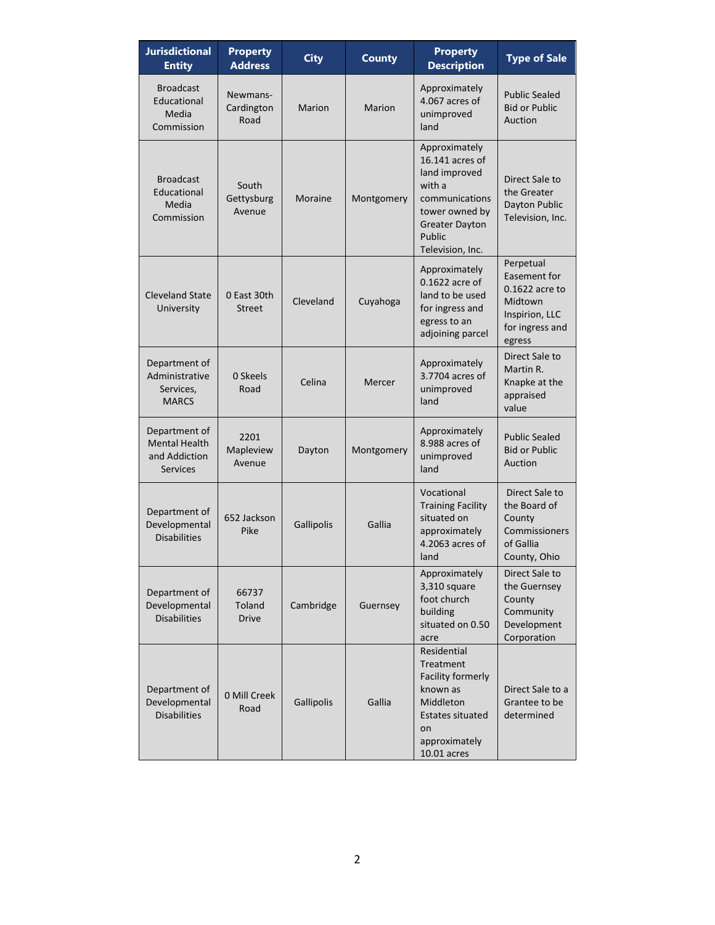| <b>Jurisdictional</b><br><b>Entity</b>                                    | <b>Property</b><br><b>Address</b> | <b>City</b> | <b>County</b> | <b>Property</b><br><b>Description</b>                                                                                                                  | <b>Type of Sale</b>                                                                                   |
|---------------------------------------------------------------------------|-----------------------------------|-------------|---------------|--------------------------------------------------------------------------------------------------------------------------------------------------------|-------------------------------------------------------------------------------------------------------|
| <b>Broadcast</b><br>Educational<br>Media<br>Commission                    | Newmans-<br>Cardington<br>Road    | Marion      | <b>Marion</b> | Approximately<br>4.067 acres of<br>unimproved<br>land                                                                                                  | <b>Public Sealed</b><br><b>Bid or Public</b><br>Auction                                               |
| <b>Broadcast</b><br>Educational<br>Media<br>Commission                    | South<br>Gettysburg<br>Avenue     | Moraine     | Montgomery    | Approximately<br>16.141 acres of<br>land improved<br>with a<br>communications<br>tower owned by<br><b>Greater Dayton</b><br>Public<br>Television, Inc. | Direct Sale to<br>the Greater<br>Dayton Public<br>Television, Inc.                                    |
| <b>Cleveland State</b><br>University                                      | 0 East 30th<br><b>Street</b>      | Cleveland   | Cuyahoga      | Approximately<br>0.1622 acre of<br>land to be used<br>for ingress and<br>egress to an<br>adjoining parcel                                              | Perpetual<br>Easement for<br>0.1622 acre to<br>Midtown<br>Inspirion, LLC<br>for ingress and<br>egress |
| Department of<br>Administrative<br>Services,<br><b>MARCS</b>              | 0 Skeels<br>Road                  | Celina      | Mercer        | Approximately<br>3.7704 acres of<br>unimproved<br>land                                                                                                 | Direct Sale to<br>Martin R.<br>Knapke at the<br>appraised<br>value                                    |
| Department of<br><b>Mental Health</b><br>and Addiction<br><b>Services</b> | 2201<br>Mapleview<br>Avenue       | Dayton      | Montgomery    | Approximately<br>8.988 acres of<br>unimproved<br>land                                                                                                  | <b>Public Sealed</b><br><b>Bid or Public</b><br>Auction                                               |
| Department of<br>Developmental<br><b>Disabilities</b>                     | 652 Jackson<br>Pike               | Gallipolis  | Gallia        | Vocational<br><b>Training Facility</b><br>situated on<br>approximately<br>4.2063 acres of<br>land                                                      | Direct Sale to<br>the Board of<br>County<br>Commissioners<br>of Gallia<br>County, Ohio                |
| Department of<br>Developmental<br><b>Disabilities</b>                     | 66737<br>Toland<br><b>Drive</b>   | Cambridge   | Guernsey      | Approximately<br>3,310 square<br>foot church<br>building<br>situated on 0.50<br>acre                                                                   | Direct Sale to<br>the Guernsey<br>County<br>Community<br>Development<br>Corporation                   |
| Department of<br>Developmental<br><b>Disabilities</b>                     | 0 Mill Creek<br>Road              | Gallipolis  | Gallia        | Residential<br>Treatment<br>Facility formerly<br>known as<br>Middleton<br>Estates situated<br>on<br>approximately<br>10.01 acres                       | Direct Sale to a<br>Grantee to be<br>determined                                                       |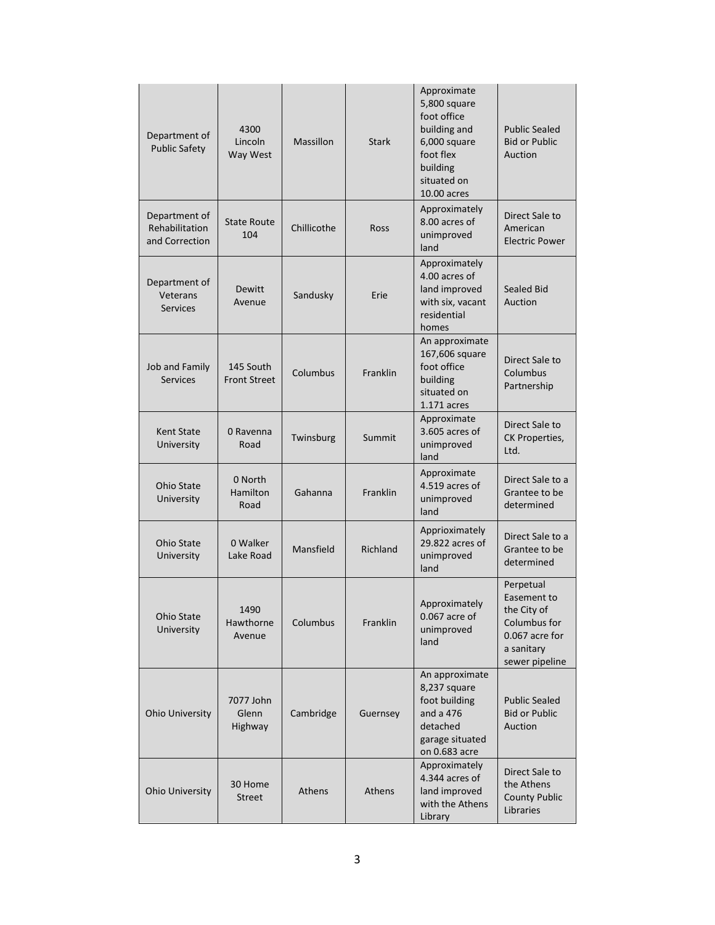| Department of<br><b>Public Safety</b>             | 4300<br>Lincoln<br>Way West      | Massillon   | <b>Stark</b>    | Approximate<br>5,800 square<br>foot office<br>building and<br>6,000 square<br>foot flex<br>building<br>situated on<br>10.00 acres | <b>Public Sealed</b><br><b>Bid or Public</b><br>Auction                                                   |
|---------------------------------------------------|----------------------------------|-------------|-----------------|-----------------------------------------------------------------------------------------------------------------------------------|-----------------------------------------------------------------------------------------------------------|
| Department of<br>Rehabilitation<br>and Correction | <b>State Route</b><br>104        | Chillicothe | Ross            | Approximately<br>8.00 acres of<br>unimproved<br>land                                                                              | Direct Sale to<br>American<br><b>Electric Power</b>                                                       |
| Department of<br>Veterans<br><b>Services</b>      | <b>Dewitt</b><br>Avenue          | Sandusky    | Erie            | Approximately<br>4.00 acres of<br>land improved<br>with six, vacant<br>residential<br>homes                                       | <b>Sealed Bid</b><br>Auction                                                                              |
| Job and Family<br><b>Services</b>                 | 145 South<br><b>Front Street</b> | Columbus    | Franklin        | An approximate<br>167,606 square<br>foot office<br>building<br>situated on<br>$1.171$ acres                                       | Direct Sale to<br>Columbus<br>Partnership                                                                 |
| Kent State<br>University                          | 0 Ravenna<br>Road                | Twinsburg   | Summit          | Approximate<br>3.605 acres of<br>unimproved<br>land                                                                               | Direct Sale to<br>CK Properties,<br>Ltd.                                                                  |
| <b>Ohio State</b><br>University                   | 0 North<br>Hamilton<br>Road      | Gahanna     | <b>Franklin</b> | Approximate<br>4.519 acres of<br>unimproved<br>land                                                                               | Direct Sale to a<br>Grantee to be<br>determined                                                           |
| <b>Ohio State</b><br>University                   | 0 Walker<br>Lake Road            | Mansfield   | Richland        | Apprioximately<br>29.822 acres of<br>unimproved<br>land                                                                           | Direct Sale to a<br>Grantee to be<br>determined                                                           |
| Ohio State<br>University                          | 1490<br>Hawthorne<br>Avenue      | Columbus    | Franklin        | Approximately<br>0.067 acre of<br>unimproved<br>land                                                                              | Perpetual<br>Easement to<br>the City of<br>Columbus for<br>0.067 acre for<br>a sanitary<br>sewer pipeline |
| Ohio University                                   | 7077 John<br>Glenn<br>Highway    | Cambridge   | Guernsey        | An approximate<br>8,237 square<br>foot building<br>and a 476<br>detached<br>garage situated<br>on 0.683 acre                      | <b>Public Sealed</b><br><b>Bid or Public</b><br>Auction                                                   |
| Ohio University                                   | 30 Home<br><b>Street</b>         | Athens      | Athens          | Approximately<br>4.344 acres of<br>land improved<br>with the Athens<br>Library                                                    | Direct Sale to<br>the Athens<br><b>County Public</b><br>Libraries                                         |